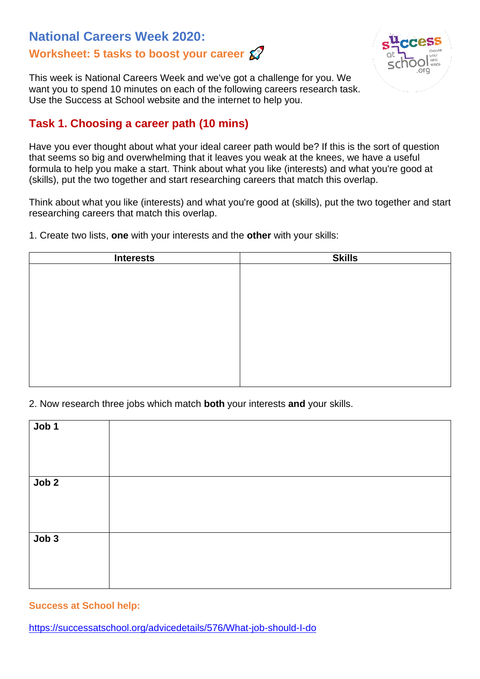# **National Careers Week 2020: Worksheet: 5 tasks to boost your career**



This week is National Careers Week and we've got a challenge for you. We want you to spend 10 minutes on each of the following careers research task. Use the Success at School website and the internet to help you.

## **Task 1. Choosing a career path (10 mins)**

Have you ever thought about what your ideal career path would be? If this is the sort of question that seems so big and overwhelming that it leaves you weak at the knees, we have a useful formula to help you make a start. Think about what you like (interests) and what you're good at (skills), put the two together and start researching careers that match this overlap.

Think about what you like (interests) and what you're good at (skills), put the two together and start researching careers that match this overlap.

1. Create two lists, **one** with your interests and the **other** with your skills:

| <b>Interests</b> | <b>Skills</b> |
|------------------|---------------|
|                  |               |
|                  |               |
|                  |               |
|                  |               |
|                  |               |
|                  |               |
|                  |               |
|                  |               |
|                  |               |
|                  |               |

2. Now research three jobs which match **both** your interests **and** your skills.

| Job 1            |  |
|------------------|--|
| Job <sub>2</sub> |  |
| Job <sub>3</sub> |  |

### **Success at School help:**

<https://successatschool.org/advicedetails/576/What-job-should-I-do>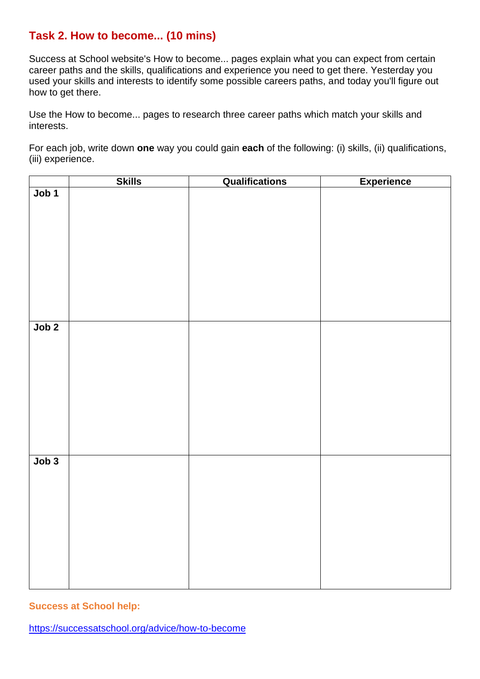### **Task 2. How to become... (10 mins)**

Success at School website's How to become... pages explain what you can expect from certain career paths and the skills, qualifications and experience you need to get there. Yesterday you used your skills and interests to identify some possible careers paths, and today you'll figure out how to get there.

Use the How to become... pages to research three career paths which match your skills and interests.

For each job, write down **one** way you could gain **each** of the following: (i) skills, (ii) qualifications, (iii) experience.

|       | <b>Skills</b> | Qualifications | <b>Experience</b> |
|-------|---------------|----------------|-------------------|
| Job 1 |               |                |                   |
|       |               |                |                   |
|       |               |                |                   |
|       |               |                |                   |
|       |               |                |                   |
|       |               |                |                   |
|       |               |                |                   |
|       |               |                |                   |
|       |               |                |                   |
|       |               |                |                   |
| Job 2 |               |                |                   |
|       |               |                |                   |
|       |               |                |                   |
|       |               |                |                   |
|       |               |                |                   |
|       |               |                |                   |
|       |               |                |                   |
|       |               |                |                   |
|       |               |                |                   |
|       |               |                |                   |
|       |               |                |                   |
| Job 3 |               |                |                   |
|       |               |                |                   |
|       |               |                |                   |
|       |               |                |                   |
|       |               |                |                   |
|       |               |                |                   |
|       |               |                |                   |
|       |               |                |                   |
|       |               |                |                   |
|       |               |                |                   |
|       |               |                |                   |

**Success at School help:**

<https://successatschool.org/advice/how-to-become>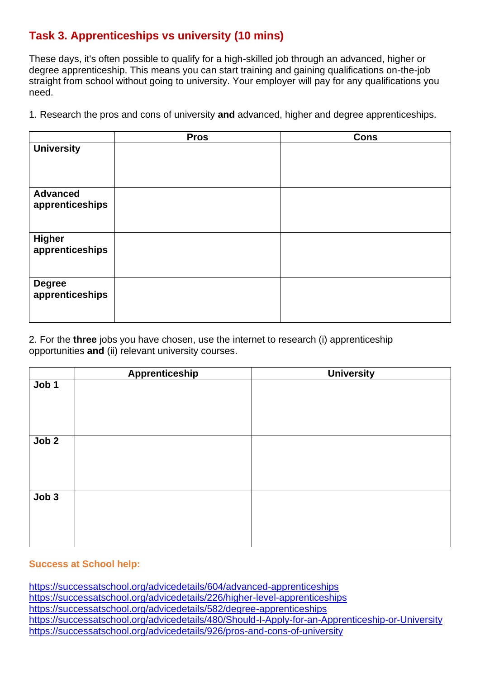# **Task 3. Apprenticeships vs university (10 mins)**

These days, it's often possible to qualify for a high-skilled job through an advanced, higher or degree apprenticeship. This means you can start training and gaining qualifications on-the-job straight from school without going to university. Your employer will pay for any qualifications you need.

1. Research the pros and cons of university **and** advanced, higher and degree apprenticeships.

|                                    | <b>Pros</b> | <b>Cons</b> |
|------------------------------------|-------------|-------------|
| <b>University</b>                  |             |             |
| <b>Advanced</b><br>apprenticeships |             |             |
| <b>Higher</b><br>apprenticeships   |             |             |
| <b>Degree</b><br>apprenticeships   |             |             |

2. For the **three** jobs you have chosen, use the internet to research (i) apprenticeship opportunities **and** (ii) relevant university courses.

|       | <b>Apprenticeship</b> | <b>University</b> |
|-------|-----------------------|-------------------|
| Job 1 |                       |                   |
|       |                       |                   |
|       |                       |                   |
|       |                       |                   |
| Job 2 |                       |                   |
|       |                       |                   |
|       |                       |                   |
|       |                       |                   |
| Job3  |                       |                   |
|       |                       |                   |
|       |                       |                   |
|       |                       |                   |

#### **Success at School help:**

<https://successatschool.org/advicedetails/604/advanced-apprenticeships> <https://successatschool.org/advicedetails/226/higher-level-apprenticeships> <https://successatschool.org/advicedetails/582/degree-apprenticeships> <https://successatschool.org/advicedetails/480/Should-I-Apply-for-an-Apprenticeship-or-University> <https://successatschool.org/advicedetails/926/pros-and-cons-of-university>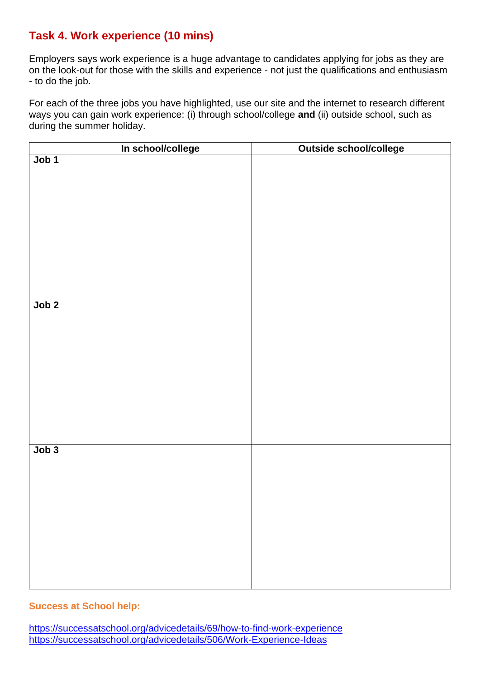## **Task 4. Work experience (10 mins)**

Employers says work experience is a huge advantage to candidates applying for jobs as they are on the look-out for those with the skills and experience - not just the qualifications and enthusiasm - to do the job.

For each of the three jobs you have highlighted, use our site and the internet to research different ways you can gain work experience: (i) through school/college **and** (ii) outside school, such as during the summer holiday.

|                  | In school/college | Outside school/college |
|------------------|-------------------|------------------------|
| Job <sub>1</sub> |                   |                        |
| Job 2            |                   |                        |
| Job 3            |                   |                        |

### **Success at School help:**

<https://successatschool.org/advicedetails/69/how-to-find-work-experience> <https://successatschool.org/advicedetails/506/Work-Experience-Ideas>